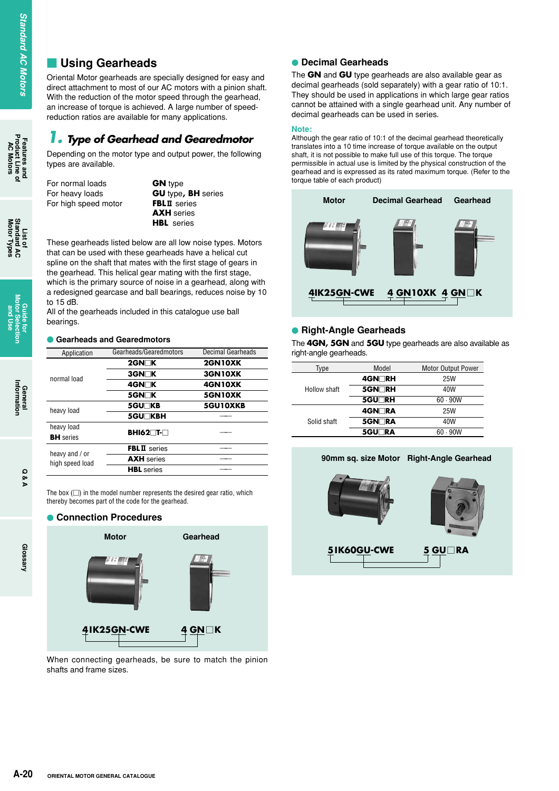## **Using Gearheads**

Oriental Motor gearheads are specially designed for easy and direct attachment to most of our AC motors with a pinion shaft. With the reduction of the motor speed through the gearhead, an increase of torque is achieved. A Iarge number of speedreduction ratios are available for many applications.

## *1. Type of Gearhead and Gearedmotor*

Depending on the motor type and output power, the following types are available.

| For normal loads     |  |
|----------------------|--|
| For heavy loads      |  |
| For high speed motor |  |

**GN** type **GU** type, **BH** series **FBLII** series **AXH** series **HBL** series

These gearheads listed below are all low noise types. Motors that can be used with these gearheads have a helical cut spline on the shaft that mates with the first stage of gears in the gearhead. This helical gear mating with the first stage, which is the primary source of noise in a gearhead, along with a redesigned gearcase and ball bearings, reduces noise by 10 to 15 dB.

All of the gearheads included in this catalogue use ball bearings.

#### **• Gearheads and Gearedmotors**

| Application                       | Gearheads/Gearedmotors | <b>Decimal Gearheads</b> |
|-----------------------------------|------------------------|--------------------------|
|                                   | $2$ GN $\neg$ K        | <b>2GN10XK</b>           |
| normal load                       | <b>3GN⊟K</b>           | 3GN10XK                  |
|                                   | 4GN⊟K                  | 4GN10XK                  |
|                                   | 5GN <sub>N</sub>       | 5GN10XK                  |
| heavy load                        | <b>5GU∏KB</b>          | 5GU10XKB                 |
|                                   | <b>5GU⊤KBH</b>         |                          |
| heavy load                        |                        |                          |
| <b>BH</b> series                  | BHI62∏T-∏              |                          |
|                                   | <b>FBLII</b> series    |                          |
| heavy and / or<br>high speed load | <b>AXH</b> series      |                          |
|                                   | <b>HBL</b> series      |                          |

The box  $(\square)$  in the model number represents the desired gear ratio, which thereby becomes part of the code for the gearhead.

#### $\bullet$ **Connection Procedures**



When connecting gearheads, be sure to match the pinion shafts and frame sizes.

### - **Decimal Gearheads**

The **GN** and **GU** type gearheads are also available gear as decimal gearheads (sold separately) with a gear ratio of 10:1. They should be used in applications in which large gear ratios cannot be attained with a single gearhead unit. Any number of decimal gearheads can be used in series.

#### **Note:**

Although the gear ratio of 10:1 of the decimal gearhead theoretically translates into a 10 time increase of torque available on the output shaft, it is not possible to make full use of this torque. The torque permissible in actual use is limited by the physical construction of the gearhead and is expressed as its rated maximum torque. (Refer to the torque table of each product)



### **• Right-Angle Gearheads**

The **4GN, 5GN** and **5GU** type gearheads are also available as right-angle gearheads.

| Type         | Model         | <b>Motor Output Power</b> |
|--------------|---------------|---------------------------|
|              | 4GN∏RH        | <b>25W</b>                |
| Hollow shaft | 5GN∏RH        | 40W                       |
|              | <b>5GU</b> RH | 60.90W                    |
|              | 4GN∏RA        | 25W                       |
| Solid shaft  | 5GN∏RA        | 40W                       |
|              | 5GU⊟RA        | 60.90W                    |



**Features and<br>Product Line of<br>AC Motors AC Motors**

**Glossary**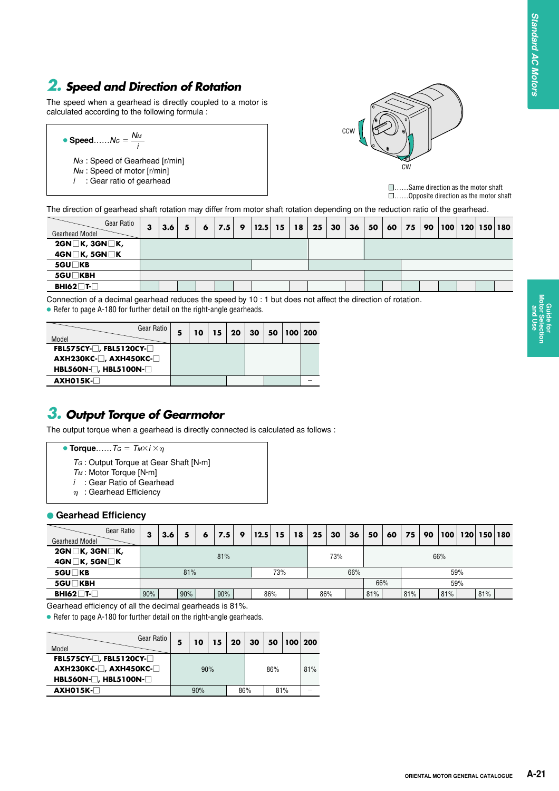# *2. Speed and Direction of Rotation*

The speed when a gearhead is directly coupled to a motor is calculated according to the following formula :

| • Speed $N_G = \frac{N_M}{I}$    |  |
|----------------------------------|--|
| $NG$ : Speed of Gearhead [r/min] |  |
| $N_M$ : Speed of motor [r/min]   |  |
| $i$ : Gear ratio of gearhead     |  |



……Same direction as the motor shaft ……Opposite direction as the motor shaft

The direction of gearhead shaft rotation may differ from motor shaft rotation depending on the reduction ratio of the gearhead.

| Gear Ratio<br>Gearhead Model        | 3 | 3.6 | 5 | 6 | 7.5 | 9 | 12.5 | 15 | 18 | 25 | 30 | 36 | 50 | 60 | 75 | 90 | 100   120   150   180 |  |
|-------------------------------------|---|-----|---|---|-----|---|------|----|----|----|----|----|----|----|----|----|-----------------------|--|
| $2GN \square K$ , $3GN \square K$ , |   |     |   |   |     |   |      |    |    |    |    |    |    |    |    |    |                       |  |
| 4GN□K, 5GN□K                        |   |     |   |   |     |   |      |    |    |    |    |    |    |    |    |    |                       |  |
| 5GU□KB                              |   |     |   |   |     |   |      |    |    |    |    |    |    |    |    |    |                       |  |
| 5GU□KBH                             |   |     |   |   |     |   |      |    |    |    |    |    |    |    |    |    |                       |  |
| $BH162$ $T$                         |   |     |   |   |     |   |      |    |    |    |    |    |    |    |    |    |                       |  |

Connection of a decimal gearhead reduces the speed by 10 : 1 but does not affect the direction of rotation.

<sup>●</sup> Refer to page A-180 for further detail on the right-angle gearheads.

| Model                                                                             | Gear Ratio | 10 | 15 | 20 | 30 | 50 | 100 | 200 |
|-----------------------------------------------------------------------------------|------------|----|----|----|----|----|-----|-----|
| FBL575CY- $\Box$ , FBL5120CY- $\Box$<br>$AXH230KC$ - $\Box$ , $AXH450KC$ - $\Box$ |            |    |    |    |    |    |     |     |
| $HBL560N$ - $\Box$ , HBL5100N- $\Box$                                             |            |    |    |    |    |    |     |     |
| AXH015K-□                                                                         |            |    |    |    |    |    |     |     |

## *3. Output Torque of Gearmotor*

The output torque when a gearhead is directly connected is calculated as follows :

- **Torque**……*T<sub>G</sub>* =  $T_M \times i \times n$ 
	- *TG* : Output Torque at Gear Shaft [N**.**m]
	- *TM* : Motor Torque [N**.**m]
	- *i* : Gear Ratio of Gearhead
	- $\eta$ : Gearhead Efficiency

#### **• Gearhead Efficiency**

| Gear Ratio<br><b>Gearhead Model</b> | 3   | 3.6 | 5   | 6 | 7.5 | 9 | 12.5 | 15  | 18  | 25  | 30 | 36 | 50  | 60  | 75  | 90 | 100 | 120 |     | 150 180 |
|-------------------------------------|-----|-----|-----|---|-----|---|------|-----|-----|-----|----|----|-----|-----|-----|----|-----|-----|-----|---------|
| $2GN \square K$ , $3GN \square K$ , |     | 81% |     |   |     |   |      |     | 73% |     |    |    |     | 66% |     |    |     |     |     |         |
| $4GN \square K$ , $5GN \square K$   |     |     |     |   |     |   |      |     |     |     |    |    |     |     |     |    |     |     |     |         |
| 5GU□KB                              |     |     | 81% |   |     |   |      | 73% |     | 66% |    |    |     |     | 59% |    |     |     |     |         |
| 5GU□KBH                             |     |     |     |   |     |   |      |     | 66% |     |    |    | 59% |     |     |    |     |     |     |         |
| $BH162$ <sup>-</sup>                | 90% |     | 90% |   | 90% |   |      | 86% |     | 86% |    |    | 81% |     | 81% |    | 81% |     | 81% |         |

Gearhead efficiency of all the decimal gearheads is 81%.

● Refer to page A-180 for further detail on the right-angle gearheads.

| Gear Ratio<br>Model                                                                                                                 | 5 | 10  | 15 | 20 | 30  | 50  | 100 200 |     |
|-------------------------------------------------------------------------------------------------------------------------------------|---|-----|----|----|-----|-----|---------|-----|
| FBL575CY- $\Box$ , FBL5120CY- $\Box$<br>$AXH230KC$ - $\Box$ , $AXH450KC$ - $\Box$<br>HBL560N- <sup>1</sup> , HBL5100N- <sup>1</sup> |   | 90% |    |    |     | 86% |         | 81% |
| $AXHO15K-$                                                                                                                          |   | 90% |    |    | 86% | 81% |         |     |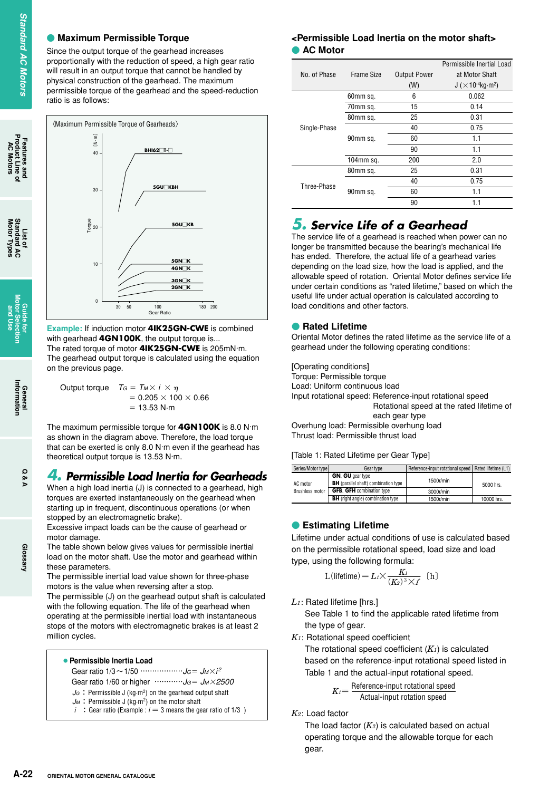### **• Maximum Permissible Torque**

Since the output torque of the gearhead increases proportionally with the reduction of speed, a high gear ratio will result in an output torque that cannot be handled by physical construction of the gearhead. The maximum permissible torque of the gearhead and the speed-reduction ratio is as follows:



**Example:** If induction motor **4IK25GN-CWE** is combined with gearhead **4GN100K**, the output torque is... The rated torque of motor **4IK25GN-CWE** is 205mN·m. The gearhead output torque is calculated using the equation on the previous page.

| Output torque | $T_G = T_M \times i \times \eta$ |
|---------------|----------------------------------|
|               | $= 0.205 \times 100 \times 0.66$ |
|               | $= 13.53$ N $\cdot$ m            |

The maximum permissible torque for **4GN100K** is 8.0 N·m as shown in the diagram above. Therefore, the load torque that can be exerted is only 8.0 N·m even if the gearhead has theoretical output torque is 13.53 N·m.

### *4. Permissible Load Inertia for Gearheads*

When a high load inertia (J) is connected to a gearhead, high torques are exerted instantaneously on the gearhead when starting up in frequent, discontinuous operations (or when stopped by an electromagnetic brake).

Excessive impact loads can be the cause of gearhead or motor damage.

The table shown below gives values for permissible inertial load on the motor shaft. Use the motor and gearhead within these parameters.

The permissible inertial load value shown for three-phase motors is the value when reversing after a stop. The permissible (J) on the gearhead output shaft is calculated with the following equation. The life of the gearhead when

operating at the permissible inertial load with instantaneous stops of the motors with electromagnetic brakes is at least 2 million cycles.

|  | • Permissible Inertia Load |  |  |
|--|----------------------------|--|--|
|--|----------------------------|--|--|

Gear ratio 1/3 ~ 1/50 ………………*J<sub>G</sub>* = *JM*×*i<sup>2</sup>* 

Gear ratio 1/60 or higher …………*JG JM2500*

- $J_G$ : Permissible J (kg·m<sup>2</sup>) on the gearhead output shaft  $J_M$ : Permissible J (kg·m<sup>2</sup>) on the motor shaft
- *i* : Gear ratio (Example :  $i = 3$  means the gear ratio of 1/3 )

### **<Permissible Load Inertia on the motor shaft> • AC Motor**

|              |              |                     | Permissible Inertial Load                         |
|--------------|--------------|---------------------|---------------------------------------------------|
| No. of Phase | Frame Size   | <b>Output Power</b> | at Motor Shaft                                    |
|              |              | (W)                 | J ( $\times$ 10 <sup>-4</sup> kg·m <sup>2</sup> ) |
|              | 60mm sq.     | 6                   | 0.062                                             |
|              | 70mm sq.     | 15                  | 0.14                                              |
|              | 80mm sq.     | 25                  | 0.31                                              |
| Single-Phase |              | 40                  | 0.75                                              |
|              | 90mm sq.     | 60                  | 1.1                                               |
|              |              | 90                  | 1.1                                               |
|              | $104$ mm sq. | 200                 | 2.0                                               |
|              | 80mm sq.     | 25                  | 0.31                                              |
| Three-Phase  |              | 40                  | 0.75                                              |
|              | 90mm sq.     | 60                  | 1.1                                               |
|              |              | 90                  | 1.1                                               |

## *5. Service Life of a Gearhead*

The service life of a gearhead is reached when power can no longer be transmitted because the bearing's mechanical life has ended. Therefore, the actual life of a gearhead varies depending on the load size, how the load is applied, and the allowable speed of rotation. Oriental Motor defines service life under certain conditions as "rated lifetime," based on which the useful life under actual operation is calculated according to load conditions and other factors.

#### **• Rated Lifetime**

Oriental Motor defines the rated lifetime as the service life of a gearhead under the following operating conditions:

[Operating conditions] Torque: Permissible torque Load: Uniform continuous load Input rotational speed: Reference-input rotational speed : Rotational speed at the rated lifetime of each gear type Overhung load: Permissible overhung load

Thrust load: Permissible thrust load

[Table 1: Rated Lifetime per Gear Type]

| Series/Motor type      | Gear type                                                              | Reference-input rotational speed   Rated lifetime (L1) |            |  |  |
|------------------------|------------------------------------------------------------------------|--------------------------------------------------------|------------|--|--|
| AC motor               | <b>GN. GU</b> gear type<br><b>BH</b> (parallel shaft) combination type | 1500r/min                                              | 5000 hrs.  |  |  |
| <b>Brushless motor</b> | <b>GFB. GFH</b> combination type                                       | 3000r/min                                              |            |  |  |
|                        | <b>BH</b> (right angle) combination type                               | 1500r/min                                              | 10000 hrs. |  |  |

### **• Estimating Lifetime**

Lifetime under actual conditions of use is calculated based on the permissible rotational speed, load size and load type, using the following formula:

L(lifetime) = 
$$
L_1 \times \frac{K_1}{(K_2)^3 \times f}
$$
 (h)

*L1*: Rated lifetime [hrs.]

See Table 1 to find the applicable rated lifetime from the type of gear.

*K1*: Rotational speed coefficient

The rotational speed coefficient (*K1*) is calculated based on the reference-input rotational speed listed in Table 1 and the actual-input rotational speed.

 $K_I$   $=$   $\frac{\text{Reference-input rotational speed}}{\text{Actual-input rotation speed}}$ 

*K2*: Load factor

The load factor (*K2*) is calculated based on actual operating torque and the allowable torque for each gear.

**Features and Product Line of AC Motors**

**List of Motor Types Standard AC** 

Ē ā

**Guide for Motor Selection and Use**

> **General**<br>Information **Information**

> > **Q & A**

**Glossary**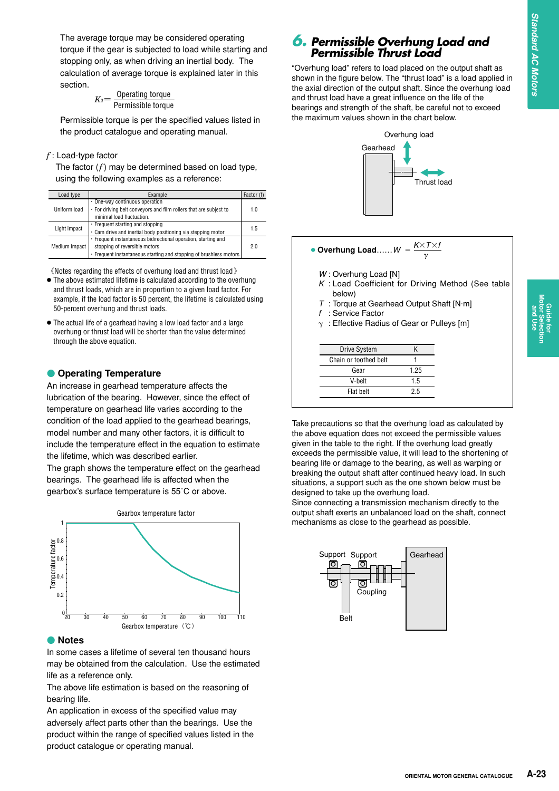**Guide for Motor Selection and Use**

The average torque may be considered operating torque if the gear is subjected to load while starting and stopping only, as when driving an inertial body. The calculation of average torque is explained later in this section.

Operating torque Permissible torque *K2***<sup>=</sup>**

Permissible torque is per the specified values listed in the product catalogue and operating manual.

#### *f* : Load-type factor

The factor (*f*) may be determined based on load type, using the following examples as a reference:

| Load type     | Example                                                            |     |  |  |
|---------------|--------------------------------------------------------------------|-----|--|--|
| Uniform load  | $\cdot$ One-way continuous operation                               |     |  |  |
|               | . For driving belt conveyors and film rollers that are subject to  |     |  |  |
|               | minimal load fluctuation.                                          |     |  |  |
| Light impact  | $\cdot$ Frequent starting and stopping                             |     |  |  |
|               | . Cam drive and inertial body positioning via stepping motor       | 1.5 |  |  |
| Medium impact | · Frequent instantaneous bidirectional operation, starting and     |     |  |  |
|               | stopping of reversible motors                                      |     |  |  |
|               | · Frequent instantaneous starting and stopping of brushless motors |     |  |  |

《Notes regarding the effects of overhung load and thrust load》

- The above estimated lifetime is calculated according to the overhung and thrust loads, which are in proportion to a given load factor. For example, if the load factor is 50 percent, the lifetime is calculated using 50-percent overhung and thrust loads.
- The actual life of a gearhead having a low load factor and a large overhung or thrust load will be shorter than the value determined through the above equation.

### **• Operating Temperature**

An increase in gearhead temperature affects the lubrication of the bearing. However, since the effect of temperature on gearhead life varies according to the condition of the load applied to the gearhead bearings, model number and many other factors, it is difficult to include the temperature effect in the equation to estimate the lifetime, which was described earlier.

The graph shows the temperature effect on the gearhead bearings. The gearhead life is affected when the gearbox's surface temperature is 55˚C or above.



#### - **Notes**

In some cases a lifetime of several ten thousand hours may be obtained from the calculation. Use the estimated life as a reference only.

The above life estimation is based on the reasoning of bearing life.

An application in excess of the specified value may adversely affect parts other than the bearings. Use the product within the range of specified values listed in the product catalogue or operating manual.

### *6. Permissible Overhung Load and Permissible Thrust Load*

"Overhung load" refers to load placed on the output shaft as shown in the figure below. The "thrust load" is a load applied in the axial direction of the output shaft. Since the overhung load and thrust load have a great influence on the life of the bearings and strength of the shaft, be careful not to exceed the maximum values shown in the chart below.



• Overhung Load.....
$$
W = \frac{K \times T \times t}{\gamma}
$$

- *W* : Overhung Load [N]
- *K* : Load Coefficient for Driving Method (See table below)
- *T* : Torque at Gearhead Output Shaft [N.m]
- *f* : Service Factor
- $\gamma$ : Effective Radius of Gear or Pulleys [m]

| <b>Drive System</b>   | K    |
|-----------------------|------|
| Chain or toothed belt |      |
| Gear                  | 1.25 |
| V-helt                | 1.5  |
| Flat helt             | 25   |

Take precautions so that the overhung load as calculated by the above equation does not exceed the permissible values given in the table to the right. If the overhung load greatly exceeds the permissible value, it will lead to the shortening of bearing life or damage to the bearing, as well as warping or breaking the output shaft after continued heavy load. In such situations, a support such as the one shown below must be designed to take up the overhung load.

Since connecting a transmission mechanism directly to the output shaft exerts an unbalanced load on the shaft, connect mechanisms as close to the gearhead as possible.